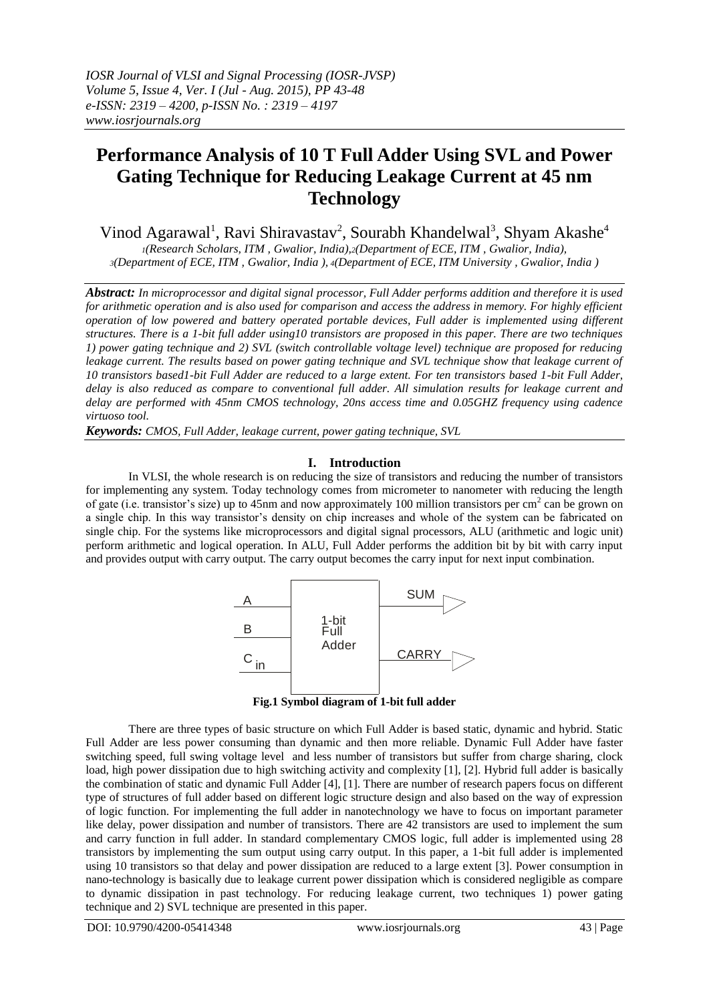*IOSR Journal of VLSI and Signal Processing (IOSR-JVSP) Volume 5, Issue 4, Ver. I (Jul - Aug. 2015), PP 43-48 e-ISSN: 2319 – 4200, p-ISSN No. : 2319 – 4197 www.iosrjournals.org*

# **Performance Analysis of 10 T Full Adder Using SVL and Power Gating Technique for Reducing Leakage Current at 45 nm Technology**

Vinod Agarawal<sup>1</sup>, Ravi Shiravastav<sup>2</sup>, Sourabh Khandelwal<sup>3</sup>, Shyam Akashe<sup>4</sup>

*<sup>1</sup>(Research Scholars, ITM , Gwalior, India),2(Department of ECE, ITM , Gwalior, India), <sup>3</sup>(Department of ECE, ITM , Gwalior, India ), <sup>4</sup>(Department of ECE, ITM University , Gwalior, India )*

*Abstract: In microprocessor and digital signal processor, Full Adder performs addition and therefore it is used for arithmetic operation and is also used for comparison and access the address in memory. For highly efficient operation of low powered and battery operated portable devices, Full adder is implemented using different structures. There is a 1-bit full adder using10 transistors are proposed in this paper. There are two techniques 1) power gating technique and 2) SVL (switch controllable voltage level) technique are proposed for reducing leakage current. The results based on power gating technique and SVL technique show that leakage current of 10 transistors based1-bit Full Adder are reduced to a large extent. For ten transistors based 1-bit Full Adder, delay is also reduced as compare to conventional full adder. All simulation results for leakage current and delay are performed with 45nm CMOS technology, 20ns access time and 0.05GHZ frequency using cadence virtuoso tool.*

*Keywords: CMOS, Full Adder, leakage current, power gating technique, SVL*

### **I. Introduction**

In VLSI, the whole research is on reducing the size of transistors and reducing the number of transistors for implementing any system. Today technology comes from micrometer to nanometer with reducing the length of gate (i.e. transistor's size) up to 45nm and now approximately 100 million transistors per cm<sup>2</sup> can be grown on a single chip. In this way transistor"s density on chip increases and whole of the system can be fabricated on single chip. For the systems like microprocessors and digital signal processors, ALU (arithmetic and logic unit) perform arithmetic and logical operation. In ALU, Full Adder performs the addition bit by bit with carry input and provides output with carry output. The carry output becomes the carry input for next input combination.



**Fig.1 Symbol diagram of 1-bit full adder**

There are three types of basic structure on which Full Adder is based static, dynamic and hybrid. Static Full Adder are less power consuming than dynamic and then more reliable. Dynamic Full Adder have faster switching speed, full swing voltage level and less number of transistors but suffer from charge sharing, clock load, high power dissipation due to high switching activity and complexity [1], [2]. Hybrid full adder is basically the combination of static and dynamic Full Adder [4], [1]. There are number of research papers focus on different type of structures of full adder based on different logic structure design and also based on the way of expression of logic function. For implementing the full adder in nanotechnology we have to focus on important parameter like delay, power dissipation and number of transistors. There are 42 transistors are used to implement the sum and carry function in full adder. In standard complementary CMOS logic, full adder is implemented using 28 transistors by implementing the sum output using carry output. In this paper, a 1-bit full adder is implemented using 10 transistors so that delay and power dissipation are reduced to a large extent [3]. Power consumption in nano-technology is basically due to leakage current power dissipation which is considered negligible as compare to dynamic dissipation in past technology. For reducing leakage current, two techniques 1) power gating technique and 2) SVL technique are presented in this paper.

DOI: 10.9790/4200-05414348 www.iosrjournals.org 43 | Page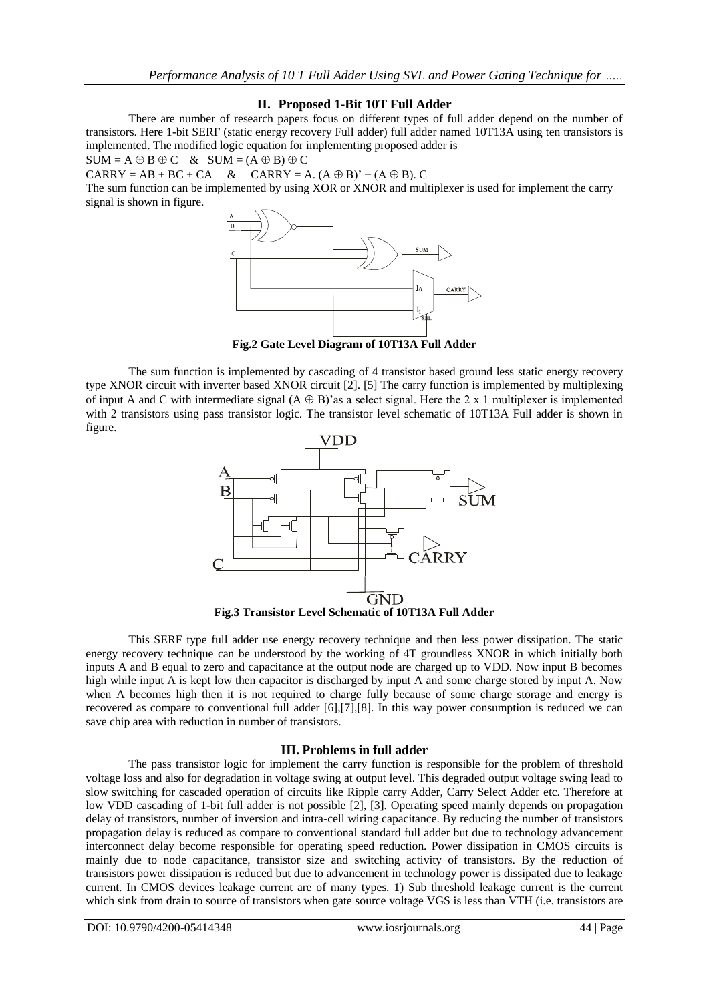## **II. Proposed 1-Bit 10T Full Adder**

There are number of research papers focus on different types of full adder depend on the number of transistors. Here 1-bit SERF (static energy recovery Full adder) full adder named 10T13A using ten transistors is implemented. The modified logic equation for implementing proposed adder is

 $SUM = A \oplus B \oplus C \& SUM = (A \oplus B) \oplus C$ 

 $CARRY = AB + BC + CA$  &  $CARRY = A. (A \oplus B)' + (A \oplus B). C$ 

The sum function can be implemented by using XOR or XNOR and multiplexer is used for implement the carry signal is shown in figure.



**Fig.2 Gate Level Diagram of 10T13A Full Adder**

The sum function is implemented by cascading of 4 transistor based ground less static energy recovery type XNOR circuit with inverter based XNOR circuit [2]. [5] The carry function is implemented by multiplexing of input A and C with intermediate signal  $(A \oplus B)'$  as a select signal. Here the 2 x 1 multiplexer is implemented with 2 transistors using pass transistor logic. The transistor level schematic of 10T13A Full adder is shown in figure.



This SERF type full adder use energy recovery technique and then less power dissipation. The static energy recovery technique can be understood by the working of 4T groundless XNOR in which initially both inputs A and B equal to zero and capacitance at the output node are charged up to VDD. Now input B becomes high while input A is kept low then capacitor is discharged by input A and some charge stored by input A. Now when A becomes high then it is not required to charge fully because of some charge storage and energy is recovered as compare to conventional full adder [6],[7],[8]. In this way power consumption is reduced we can save chip area with reduction in number of transistors.

## **III. Problems in full adder**

The pass transistor logic for implement the carry function is responsible for the problem of threshold voltage loss and also for degradation in voltage swing at output level. This degraded output voltage swing lead to slow switching for cascaded operation of circuits like Ripple carry Adder, Carry Select Adder etc. Therefore at low VDD cascading of 1-bit full adder is not possible [2], [3]. Operating speed mainly depends on propagation delay of transistors, number of inversion and intra-cell wiring capacitance. By reducing the number of transistors propagation delay is reduced as compare to conventional standard full adder but due to technology advancement interconnect delay become responsible for operating speed reduction. Power dissipation in CMOS circuits is mainly due to node capacitance, transistor size and switching activity of transistors. By the reduction of transistors power dissipation is reduced but due to advancement in technology power is dissipated due to leakage current. In CMOS devices leakage current are of many types. 1) Sub threshold leakage current is the current which sink from drain to source of transistors when gate source voltage VGS is less than VTH (i.e. transistors are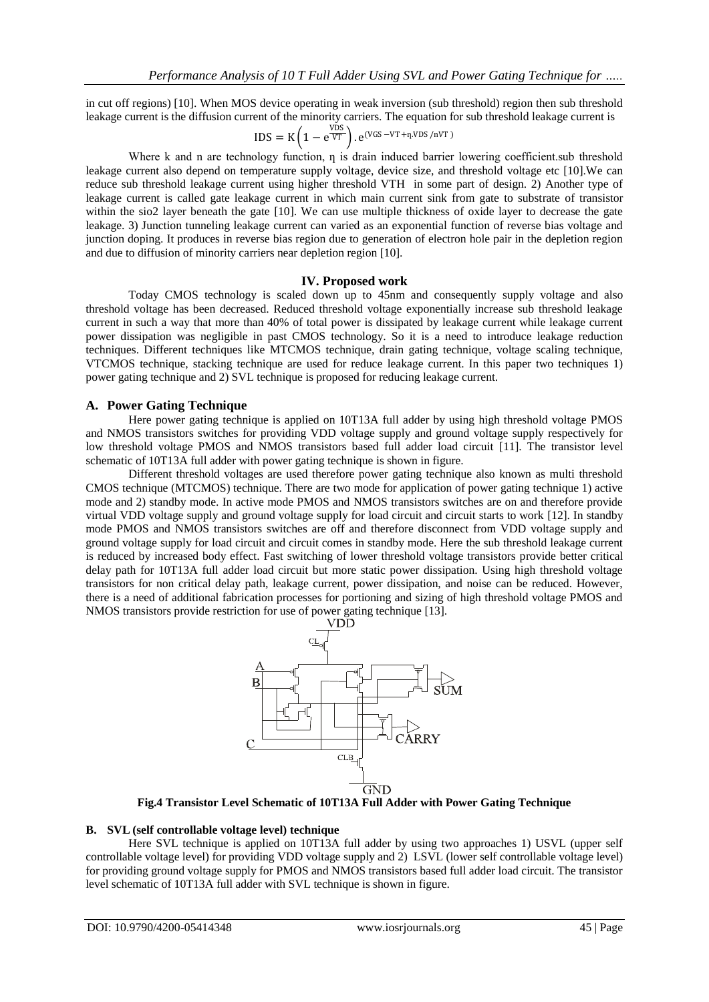in cut off regions) [10]. When MOS device operating in weak inversion (sub threshold) region then sub threshold leakage current is the diffusion current of the minority carriers. The equation for sub threshold leakage current is

$$
IDS = K \left( 1 - e^{\frac{VDS}{VT}} \right) . e^{(VGS - VT + \eta.VDS/nVT)}
$$

Where k and n are technology function, n is drain induced barrier lowering coefficient.sub threshold leakage current also depend on temperature supply voltage, device size, and threshold voltage etc [10].We can reduce sub threshold leakage current using higher threshold VTH in some part of design. 2) Another type of leakage current is called gate leakage current in which main current sink from gate to substrate of transistor within the sio2 layer beneath the gate [10]. We can use multiple thickness of oxide layer to decrease the gate leakage. 3) Junction tunneling leakage current can varied as an exponential function of reverse bias voltage and junction doping. It produces in reverse bias region due to generation of electron hole pair in the depletion region and due to diffusion of minority carriers near depletion region [10].

#### **IV. Proposed work**

Today CMOS technology is scaled down up to 45nm and consequently supply voltage and also threshold voltage has been decreased. Reduced threshold voltage exponentially increase sub threshold leakage current in such a way that more than 40% of total power is dissipated by leakage current while leakage current power dissipation was negligible in past CMOS technology. So it is a need to introduce leakage reduction techniques. Different techniques like MTCMOS technique, drain gating technique, voltage scaling technique, VTCMOS technique, stacking technique are used for reduce leakage current. In this paper two techniques 1) power gating technique and 2) SVL technique is proposed for reducing leakage current.

#### **A. Power Gating Technique**

Here power gating technique is applied on 10T13A full adder by using high threshold voltage PMOS and NMOS transistors switches for providing VDD voltage supply and ground voltage supply respectively for low threshold voltage PMOS and NMOS transistors based full adder load circuit [11]. The transistor level schematic of 10T13A full adder with power gating technique is shown in figure.

Different threshold voltages are used therefore power gating technique also known as multi threshold CMOS technique (MTCMOS) technique. There are two mode for application of power gating technique 1) active mode and 2) standby mode. In active mode PMOS and NMOS transistors switches are on and therefore provide virtual VDD voltage supply and ground voltage supply for load circuit and circuit starts to work [12]. In standby mode PMOS and NMOS transistors switches are off and therefore disconnect from VDD voltage supply and ground voltage supply for load circuit and circuit comes in standby mode. Here the sub threshold leakage current is reduced by increased body effect. Fast switching of lower threshold voltage transistors provide better critical delay path for 10T13A full adder load circuit but more static power dissipation. Using high threshold voltage transistors for non critical delay path, leakage current, power dissipation, and noise can be reduced. However, there is a need of additional fabrication processes for portioning and sizing of high threshold voltage PMOS and NMOS transistors provide restriction for use of power gating technique [13].



**Fig.4 Transistor Level Schematic of 10T13A Full Adder with Power Gating Technique**

#### **B. SVL (self controllable voltage level) technique**

Here SVL technique is applied on 10T13A full adder by using two approaches 1) USVL (upper self controllable voltage level) for providing VDD voltage supply and 2) LSVL (lower self controllable voltage level) for providing ground voltage supply for PMOS and NMOS transistors based full adder load circuit. The transistor level schematic of 10T13A full adder with SVL technique is shown in figure.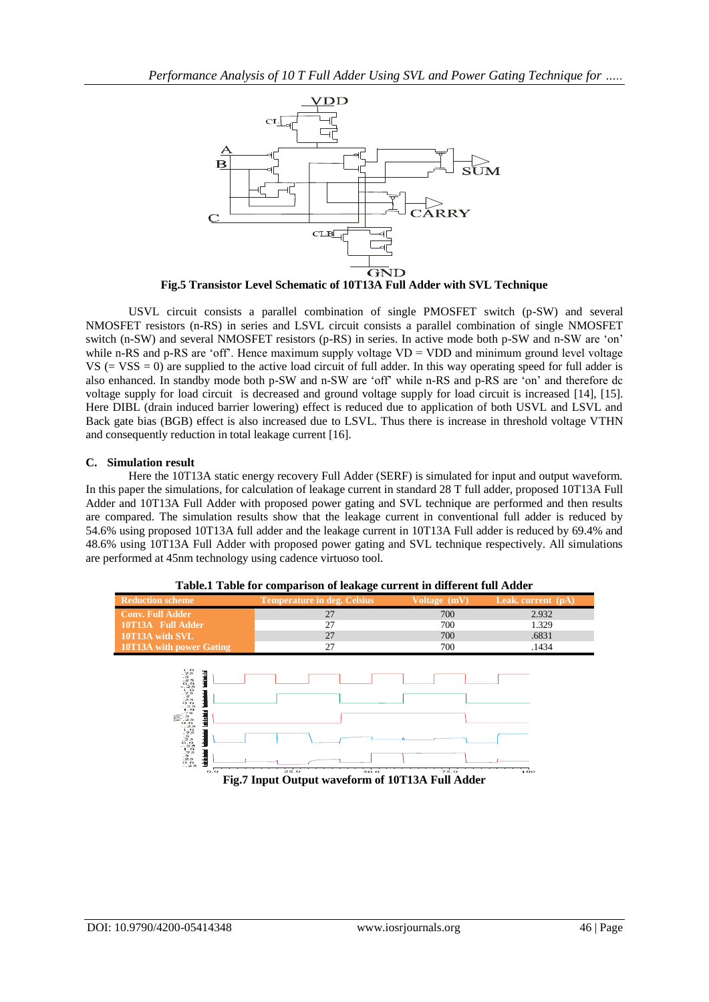

**Fig.5 Transistor Level Schematic of 10T13A Full Adder with SVL Technique**

USVL circuit consists a parallel combination of single PMOSFET switch (p-SW) and several NMOSFET resistors (n-RS) in series and LSVL circuit consists a parallel combination of single NMOSFET switch (n-SW) and several NMOSFET resistors (p-RS) in series. In active mode both p-SW and n-SW are "on" while n-RS and p-RS are 'off'. Hence maximum supply voltage VD = VDD and minimum ground level voltage  $VS$  (=  $VSS = 0$ ) are supplied to the active load circuit of full adder. In this way operating speed for full adder is also enhanced. In standby mode both p-SW and n-SW are "off" while n-RS and p-RS are "on" and therefore dc voltage supply for load circuit is decreased and ground voltage supply for load circuit is increased [14], [15]. Here DIBL (drain induced barrier lowering) effect is reduced due to application of both USVL and LSVL and Back gate bias (BGB) effect is also increased due to LSVL. Thus there is increase in threshold voltage VTHN and consequently reduction in total leakage current [16].

## **C. Simulation result**

Here the 10T13A static energy recovery Full Adder (SERF) is simulated for input and output waveform. In this paper the simulations, for calculation of leakage current in standard 28 T full adder, proposed 10T13A Full Adder and 10T13A Full Adder with proposed power gating and SVL technique are performed and then results are compared. The simulation results show that the leakage current in conventional full adder is reduced by 54.6% using proposed 10T13A full adder and the leakage current in 10T13A Full adder is reduced by 69.4% and 48.6% using 10T13A Full Adder with proposed power gating and SVL technique respectively. All simulations are performed at 45nm technology using cadence virtuoso tool.



**Table.1 Table for comparison of leakage current in different full Adder**

**Fig.7 Input Output waveform of 10T13A Full Adder**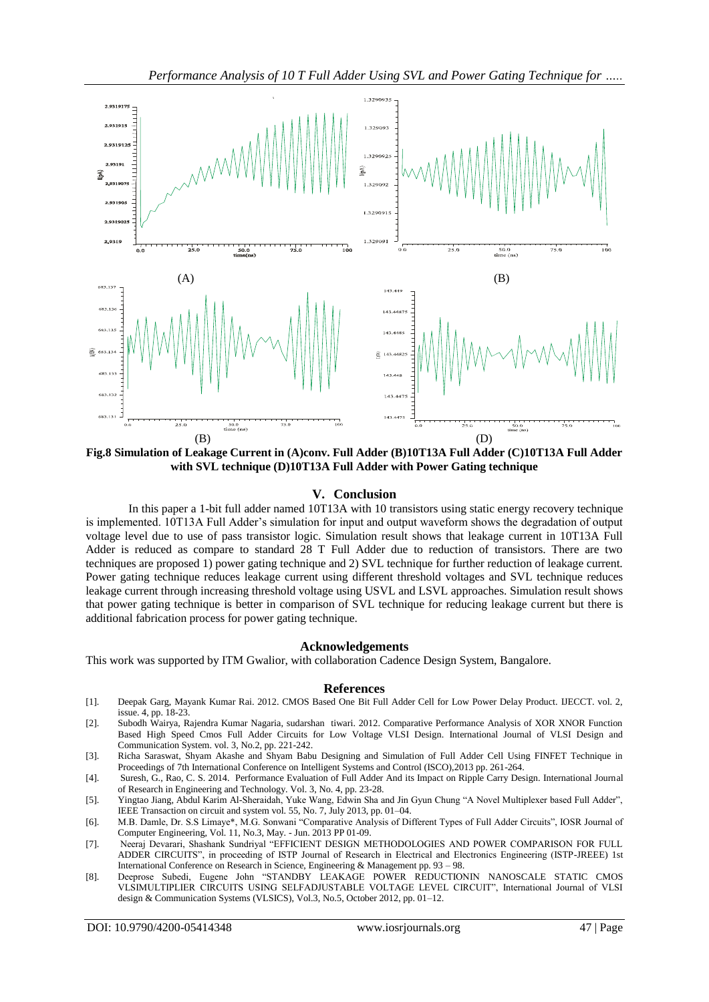

**Fig.8 Simulation of Leakage Current in (A)conv. Full Adder (B)10T13A Full Adder (C)10T13A Full Adder with SVL technique (D)10T13A Full Adder with Power Gating technique**

#### **V. Conclusion**

In this paper a 1-bit full adder named 10T13A with 10 transistors using static energy recovery technique is implemented. 10T13A Full Adder"s simulation for input and output waveform shows the degradation of output voltage level due to use of pass transistor logic. Simulation result shows that leakage current in 10T13A Full Adder is reduced as compare to standard 28 T Full Adder due to reduction of transistors. There are two techniques are proposed 1) power gating technique and 2) SVL technique for further reduction of leakage current. Power gating technique reduces leakage current using different threshold voltages and SVL technique reduces leakage current through increasing threshold voltage using USVL and LSVL approaches. Simulation result shows that power gating technique is better in comparison of SVL technique for reducing leakage current but there is additional fabrication process for power gating technique.

#### **Acknowledgements**

This work was supported by ITM Gwalior, with collaboration Cadence Design System, Bangalore.

#### **References**

- [1]. Deepak Garg, Mayank Kumar Rai. 2012. CMOS Based One Bit Full Adder Cell for Low Power Delay Product. IJECCT. vol. 2, issue. 4, pp. 18-23.
- [2]. Subodh Wairya, Rajendra Kumar Nagaria, sudarshan tiwari. 2012. Comparative Performance Analysis of XOR XNOR Function Based High Speed Cmos Full Adder Circuits for Low Voltage VLSI Design. International Journal of VLSI Design and Communication System. vol. 3, No.2, pp. 221-242.
- [3]. Richa Saraswat, Shyam Akashe and Shyam Babu Designing and Simulation of Full Adder Cell Using FINFET Technique in Proceedings of 7th International Conference on Intelligent Systems and Control (ISCO),2013 pp. 261-264.
- [4]. Suresh, G., Rao, C. S. 2014. Performance Evaluation of Full Adder And its Impact on Ripple Carry Design. International Journal of Research in Engineering and Technology. Vol. 3, No. 4, pp. 23-28.
- [5]. Yingtao Jiang, Abdul Karim Al-Sheraidah, Yuke Wang, Edwin Sha and Jin Gyun Chung "A Novel Multiplexer based Full Adder", IEEE Transaction on circuit and system vol. 55, No. 7, July 2013, pp. 01–04.
- [6]. M.B. Damle, Dr. S.S Limaye\*, M.G. Sonwani "Comparative Analysis of Different Types of Full Adder Circuits", IOSR Journal of Computer Engineering, Vol. 11, No.3, May. - Jun. 2013 PP 01-09.
- [7]. Neeraj Devarari, Shashank Sundriyal "EFFICIENT DESIGN METHODOLOGIES AND POWER COMPARISON FOR FULL ADDER CIRCUITS", in proceeding of ISTP Journal of Research in Electrical and Electronics Engineering (ISTP-JREEE) 1st International Conference on Research in Science, Engineering & Management pp. 93 – 98.
- [8]. Deeprose Subedi, Eugene John "STANDBY LEAKAGE POWER REDUCTIONIN NANOSCALE STATIC CMOS VLSIMULTIPLIER CIRCUITS USING SELFADJUSTABLE VOLTAGE LEVEL CIRCUIT", International Journal of VLSI design & Communication Systems (VLSICS), Vol.3, No.5, October 2012, pp. 01–12.